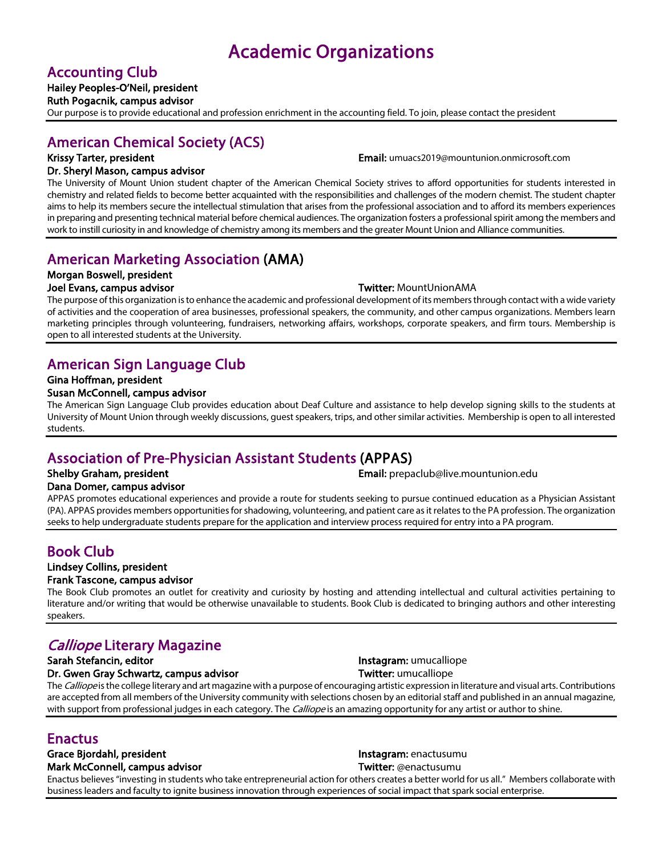# Accounting Club Hailey Peoples-O'Neil, president

Ruth Pogacnik, campus advisor

Our purpose is to provide educational and profession enrichment in the accounting field. To join, please contact the president

## American Chemical Society (ACS)

Krissy Tarter, president **Email:** umuacs2019@mountunion.onmicrosoft.com

### Dr. Sheryl Mason, campus advisor

The University of Mount Union student chapter of the American Chemical Society strives to afford opportunities for students interested in chemistry and related fields to become better acquainted with the responsibilities and challenges of the modern chemist. The student chapter aims to help its members secure the intellectual stimulation that arises from the professional association and to afford its members experiences in preparing and presenting technical material before chemical audiences. The organization fosters a professional spirit among the members and work to instill curiosity in and knowledge of chemistry among its members and the greater Mount Union and Alliance communities.

## American Marketing Association (AMA)

## Morgan Boswell, president

### Joel Evans, campus advisor Twitter: MountUnionAMA

The purpose of this organization is to enhance the academic and professional development of its members through contact with a wide variety of activities and the cooperation of area businesses, professional speakers, the community, and other campus organizations. Members learn marketing principles through volunteering, fundraisers, networking affairs, workshops, corporate speakers, and firm tours. Membership is open to all interested students at the University.

## American Sign Language Club

## Gina Hoffman, president

### Susan McConnell, campus advisor

The American Sign Language Club provides education about Deaf Culture and assistance to help develop signing skills to the students at University of Mount Union through weekly discussions, guest speakers, trips, and other similar activities. Membership is open to all interested students.

## Association of Pre-Physician Assistant Students (APPAS)

Shelby Graham, president Email: prepaclub@live.mountunion.edu

### Dana Domer, campus advisor

APPAS promotes educational experiences and provide a route for students seeking to pursue continued education as a Physician Assistant (PA). APPAS provides members opportunities for shadowing, volunteering, and patient care as it relates to the PA profession. The organization seeks to help undergraduate students prepare for the application and interview process required for entry into a PA program.

## Book Club

#### Lindsey Collins, president Frank Tascone, campus advisor

The Book Club promotes an outlet for creativity and curiosity by hosting and attending intellectual and cultural activities pertaining to literature and/or writing that would be otherwise unavailable to students. Book Club is dedicated to bringing authors and other interesting speakers.

## Calliope Literary Magazine

Dr. Gwen Gray Schwartz, campus advisor Twitter: umucalliope

Sarah Stefancin, editor **Instagram: umucalliope** Instagram: umucalliope

The Calliope is the college literary and art magazine with a purpose of encouraging artistic expression in literature and visual arts. Contributions are accepted from all members of the University community with selections chosen by an editorial staff and published in an annual magazine, with support from professional judges in each category. The *Calliope* is an amazing opportunity for any artist or author to shine.

# Enactus<br>Grace Bjordahl, president Instagram: enactusumu

Mark McConnell, campus advisor Twitter: @enactusumu

Enactus believes "investing in students who take entrepreneurial action for others creates a better world for us all." Members collaborate with business leaders and faculty to ignite business innovation through experiences of social impact that spark social enterprise.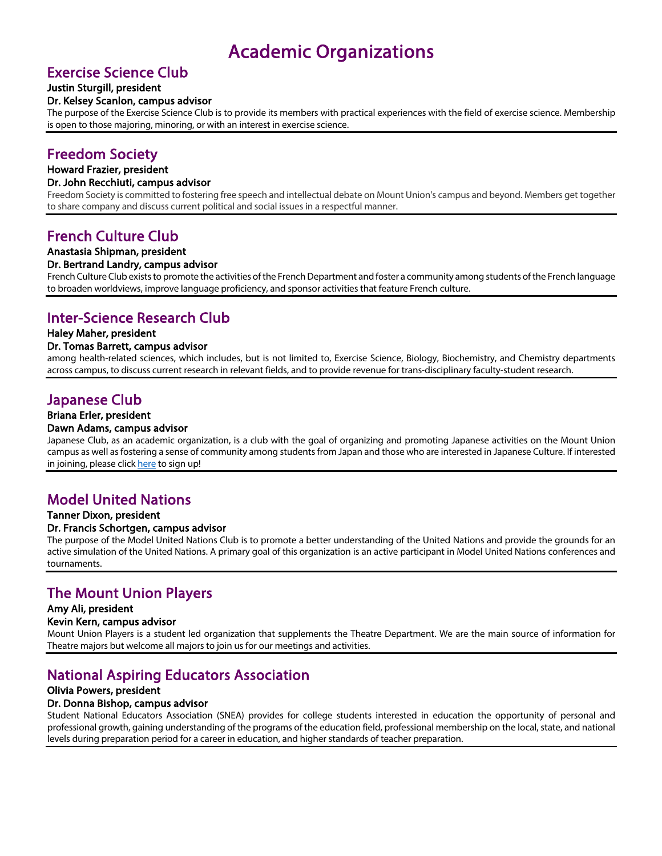# Exercise Science Club Justin Sturgill, president

### Dr. Kelsey Scanlon, campus advisor

The purpose of the Exercise Science Club is to provide its members with practical experiences with the field of exercise science. Membership is open to those majoring, minoring, or with an interest in exercise science.

# Freedom Society Howard Frazier, president

### Dr. John Recchiuti, campus advisor

Freedom Society is committed to fostering free speech and intellectual debate on Mount Union's campus and beyond. Members get together to share company and discuss current political and social issues in a respectful manner.

## French Culture Club

### Anastasia Shipman, president

#### Dr. Bertrand Landry, campus advisor

French Culture Club exists to promote the activities of the French Department and foster a community among students of the French language to broaden worldviews, improve language proficiency, and sponsor activities that feature French culture.

# Inter-Science Research Club Haley Maher, president

#### Dr. Tomas Barrett, campus advisor

among health-related sciences, which includes, but is not limited to, Exercise Science, Biology, Biochemistry, and Chemistry departments across campus, to discuss current research in relevant fields, and to provide revenue for trans-disciplinary faculty-student research.

# Japanese Club<br>Briana Erler, president

### Dawn Adams, campus advisor

Japanese Club, as an academic organization, is a club with the goal of organizing and promoting Japanese activities on the Mount Union campus as well as fostering a sense of community among students from Japan and those who are interested in Japanese Culture. If interested in joining, please click here to sign up!

# Model United Nations Tanner Dixon, president

#### Dr. Francis Schortgen, campus advisor

The purpose of the Model United Nations Club is to promote a better understanding of the United Nations and provide the grounds for an active simulation of the United Nations. A primary goal of this organization is an active participant in Model United Nations conferences and tournaments.

# The Mount Union Players Amy Ali, president

#### Kevin Kern, campus advisor

Mount Union Players is a student led organization that supplements the Theatre Department. We are the main source of information for Theatre majors but welcome all majors to join us for our meetings and activities.

## National Aspiring Educators Association

### Olivia Powers, president

### Dr. Donna Bishop, campus advisor

Student National Educators Association (SNEA) provides for college students interested in education the opportunity of personal and professional growth, gaining understanding of the programs of the education field, professional membership on the local, state, and national levels during preparation period for a career in education, and higher standards of teacher preparation.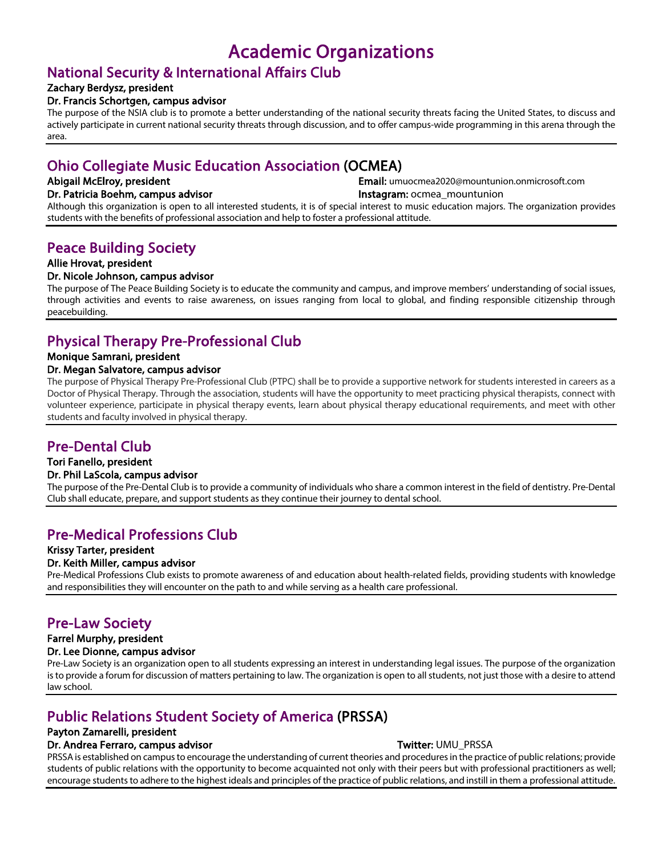# National Security & International Affairs Club Zachary Berdysz, president

### Dr. Francis Schortgen, campus advisor

The purpose of the NSIA club is to promote a better understanding of the national security threats facing the United States, to discuss and actively participate in current national security threats through discussion, and to offer campus-wide programming in this arena through the area.

## Ohio Collegiate Music Education Association (OCMEA)

Abigail McElroy, president **Email:** umuocmea2020@mountunion.onmicrosoft.com Dr. Patricia Boehm, campus advisor **Instagram: ocmea** mountunion

Although this organization is open to all interested students, it is of special interest to music education majors. The organization provides students with the benefits of professional association and help to foster a professional attitude.

# Peace Building Society Allie Hrovat, president

### Dr. Nicole Johnson, campus advisor

The purpose of The Peace Building Society is to educate the community and campus, and improve members' understanding of social issues, through activities and events to raise awareness, on issues ranging from local to global, and finding responsible citizenship through peacebuilding.

## Physical Therapy Pre-Professional Club

### Monique Samrani, president

### Dr. Megan Salvatore, campus advisor

The purpose of Physical Therapy Pre-Professional Club (PTPC) shall be to provide a supportive network for students interested in careers as a Doctor of Physical Therapy. Through the association, students will have the opportunity to meet practicing physical therapists, connect with volunteer experience, participate in physical therapy events, learn about physical therapy educational requirements, and meet with other students and faculty involved in physical therapy.

# Pre-Dental Club Tori Fanello, president

Dr. Phil LaScola, campus advisor<br>The purpose of the Pre-Dental Club is to provide a community of individuals who share a common interest in the field of dentistry. Pre-Dental Club shall educate, prepare, and support students as they continue their journey to dental school.

# Pre-Medical Professions Club Krissy Tarter, president

Dr. Keith Miller, campus advisor<br>Pre-Medical Professions Club exists to promote awareness of and education about health-related fields, providing students with knowledge and responsibilities they will encounter on the path to and while serving as a health care professional.

# Pre-Law Society Farrel Murphy, president

### Dr. Lee Dionne, campus advisor

Pre-Law Society is an organization open to all students expressing an interest in understanding legal issues. The purpose of the organization is to provide a forum for discussion of matters pertaining to law. The organization is open to all students, not just those with a desire to attend law school.

## Public Relations Student Society of America (PRSSA)

## Payton Zamarelli, president

### Dr. Andrea Ferraro, campus advisor Twitter: UMU\_PRSSA

PRSSA is established on campus to encourage the understanding of current theories and procedures in the practice of public relations; provide students of public relations with the opportunity to become acquainted not only with their peers but with professional practitioners as well; encourage students to adhere to the highest ideals and principles of the practice of public relations, and instill in them a professional attitude.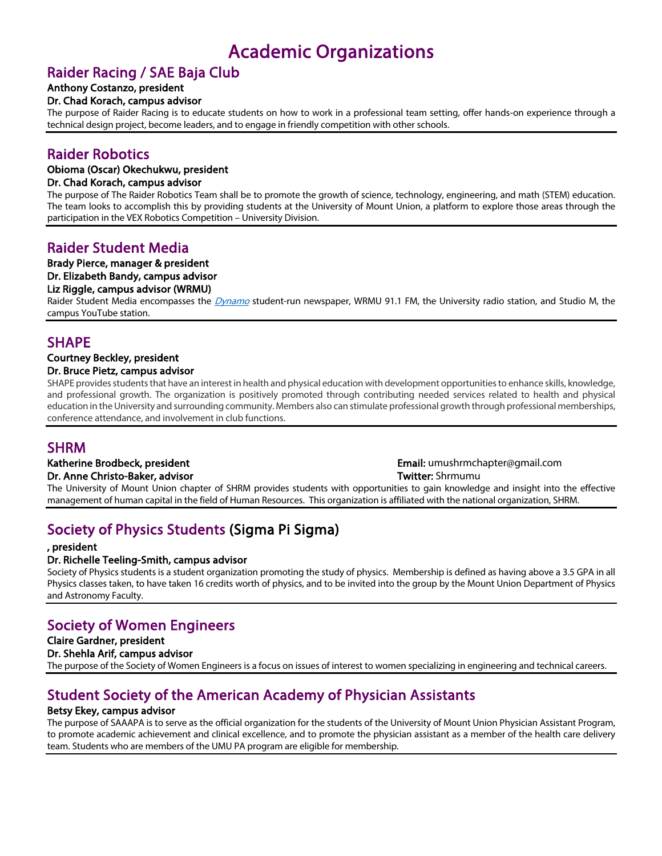## Raider Racing / SAE Baja Club

## Anthony Costanzo, president

### Dr. Chad Korach, campus advisor

The purpose of Raider Racing is to educate students on how to work in a professional team setting, offer hands-on experience through a technical design project, become leaders, and to engage in friendly competition with other schools.

## Raider Robotics

### Obioma (Oscar) Okechukwu, president

### Dr. Chad Korach, campus advisor

The purpose of The Raider Robotics Team shall be to promote the growth of science, technology, engineering, and math (STEM) education. The team looks to accomplish this by providing students at the University of Mount Union, a platform to explore those areas through the participation in the VEX Robotics Competition – University Division.

## Raider Student Media

### Brady Pierce, manager & president

#### Dr. Elizabeth Bandy, campus advisor

### Liz Riggle, campus advisor (WRMU)

Raider Student Media encompasses the *Dynamo* student-run newspaper, WRMU 91.1 FM, the University radio station, and Studio M, the campus YouTube station.

# SHAPE<br>Courtney Beckley, president

Dr. Bruce Pietz, campus advisor SHAPE provides students that have an interest in health and physical education with development opportunities to enhance skills, knowledge, and professional growth. The organization is positively promoted through contributing needed services related to health and physical education in the University and surrounding community. Members also can stimulate professional growth through professional memberships,

# SHRM<br>
Katherine Brodbeck, president Email: umushrmchapter@gmail.com

Dr. Anne Christo-Baker, advisor Twitter: Shrmumu Twitter: Shrmumu The University of Mount Union chapter of SHRM provides students with opportunities to gain knowledge and insight into the effective management of human capital in the field of Human Resources. This organization is affiliated with the national organization, SHRM.

## Society of Physics Students (Sigma Pi Sigma)

### , president

### Dr. Richelle Teeling-Smith, campus advisor

conference attendance, and involvement in club functions.

Society of Physics students is a student organization promoting the study of physics. Membership is defined as having above a 3.5 GPA in all Physics classes taken, to have taken 16 credits worth of physics, and to be invited into the group by the Mount Union Department of Physics and Astronomy Faculty.

## Society of Women Engineers

## Claire Gardner, president

### Dr. Shehla Arif, campus advisor

The purpose of the Society of Women Engineers is a focus on issues of interest to women specializing in engineering and technical careers.

# **Student Society of the American Academy of Physician Assistants**<br>Betsy Ekey, campus advisor<br>The purpose of SAAAPA is to serve as the official organization for the students of the University of Mount Union Physician Assist

to promote academic achievement and clinical excellence, and to promote the physician assistant as a member of the health care delivery team. Students who are members of the UMU PA program are eligible for membership.